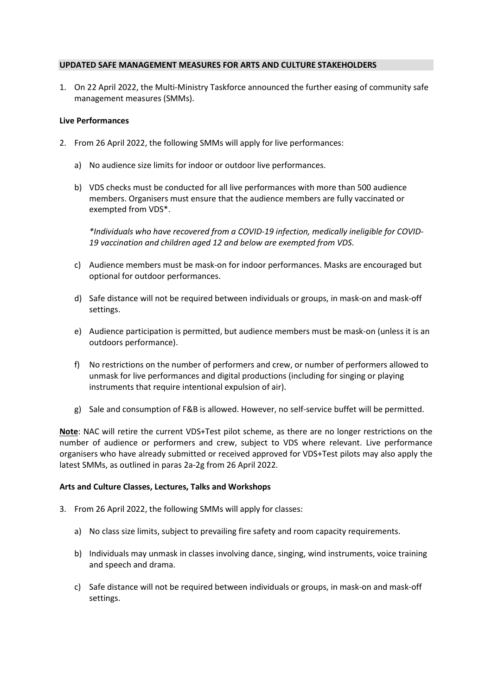## UPDATED SAFE MANAGEMENT MEASURES FOR ARTS AND CULTURE STAKEHOLDERS

1. On 22 April 2022, the Multi-Ministry Taskforce announced the further easing of community safe management measures (SMMs).

## Live Performances

- 2. From 26 April 2022, the following SMMs will apply for live performances:
	- a) No audience size limits for indoor or outdoor live performances.
	- b) VDS checks must be conducted for all live performances with more than 500 audience members. Organisers must ensure that the audience members are fully vaccinated or exempted from VDS\*.

\*Individuals who have recovered from a COVID-19 infection, medically ineligible for COVID-19 vaccination and children aged 12 and below are exempted from VDS.

- c) Audience members must be mask-on for indoor performances. Masks are encouraged but optional for outdoor performances.
- d) Safe distance will not be required between individuals or groups, in mask-on and mask-off settings.
- e) Audience participation is permitted, but audience members must be mask-on (unless it is an outdoors performance).
- f) No restrictions on the number of performers and crew, or number of performers allowed to unmask for live performances and digital productions (including for singing or playing instruments that require intentional expulsion of air).
- g) Sale and consumption of F&B is allowed. However, no self-service buffet will be permitted.

Note: NAC will retire the current VDS+Test pilot scheme, as there are no longer restrictions on the number of audience or performers and crew, subject to VDS where relevant. Live performance organisers who have already submitted or received approved for VDS+Test pilots may also apply the latest SMMs, as outlined in paras 2a-2g from 26 April 2022.

#### Arts and Culture Classes, Lectures, Talks and Workshops

- 3. From 26 April 2022, the following SMMs will apply for classes:
	- a) No class size limits, subject to prevailing fire safety and room capacity requirements.
	- b) Individuals may unmask in classes involving dance, singing, wind instruments, voice training and speech and drama.
	- c) Safe distance will not be required between individuals or groups, in mask-on and mask-off settings.